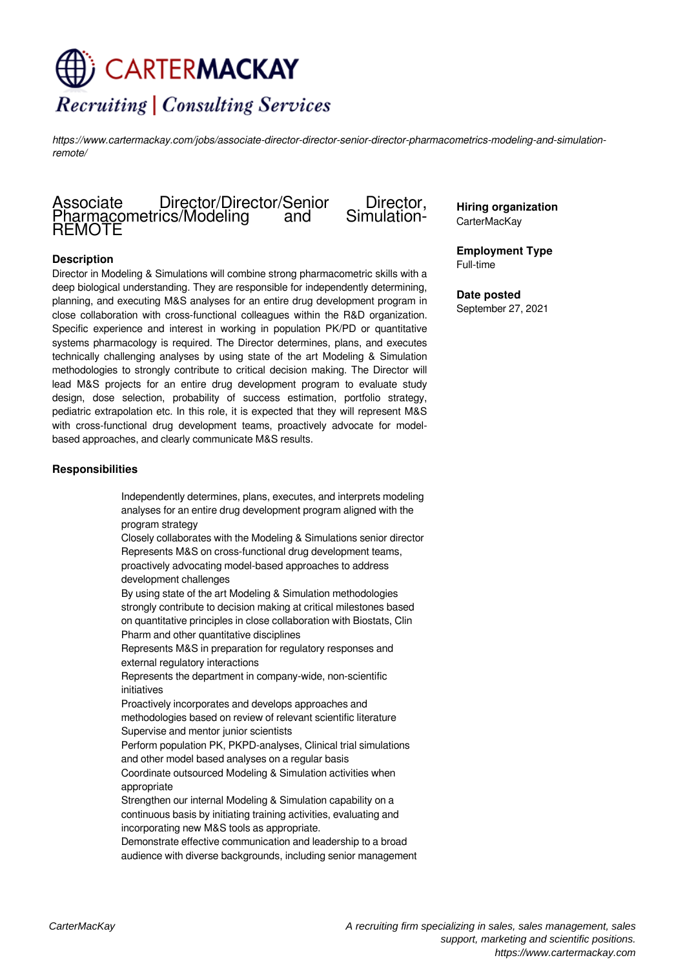# CARTERMACKAY **Recruiting | Consulting Services**

*https://www.cartermackay.com/jobs/associate-director-director-senior-director-pharmacometrics-modeling-and-simulationremote/*

# Associate Director/Director/Senior Director,<br>Pharmacometrics/Modeling and Simulation-Pharmacometrics/Modeling REMOTE

# **Description**

Director in Modeling & Simulations will combine strong pharmacometric skills with a deep biological understanding. They are responsible for independently determining, planning, and executing M&S analyses for an entire drug development program in close collaboration with cross-functional colleagues within the R&D organization. Specific experience and interest in working in population PK/PD or quantitative systems pharmacology is required. The Director determines, plans, and executes technically challenging analyses by using state of the art Modeling & Simulation methodologies to strongly contribute to critical decision making. The Director will lead M&S projects for an entire drug development program to evaluate study design, dose selection, probability of success estimation, portfolio strategy, pediatric extrapolation etc. In this role, it is expected that they will represent M&S with cross-functional drug development teams, proactively advocate for modelbased approaches, and clearly communicate M&S results.

#### **Responsibilities**

Independently determines, plans, executes, and interprets modeling analyses for an entire drug development program aligned with the program strategy

Closely collaborates with the Modeling & Simulations senior director Represents M&S on cross-functional drug development teams, proactively advocating model-based approaches to address development challenges

By using state of the art Modeling & Simulation methodologies strongly contribute to decision making at critical milestones based on quantitative principles in close collaboration with Biostats, Clin Pharm and other quantitative disciplines

Represents M&S in preparation for regulatory responses and external regulatory interactions

Represents the department in company-wide, non-scientific initiatives

Proactively incorporates and develops approaches and methodologies based on review of relevant scientific literature Supervise and mentor junior scientists

Perform population PK, PKPD-analyses, Clinical trial simulations and other model based analyses on a regular basis

Coordinate outsourced Modeling & Simulation activities when appropriate

Strengthen our internal Modeling & Simulation capability on a continuous basis by initiating training activities, evaluating and incorporating new M&S tools as appropriate.

Demonstrate effective communication and leadership to a broad audience with diverse backgrounds, including senior management **Hiring organization** CarterMacKay

**Employment Type** Full-time

**Date posted** September 27, 2021